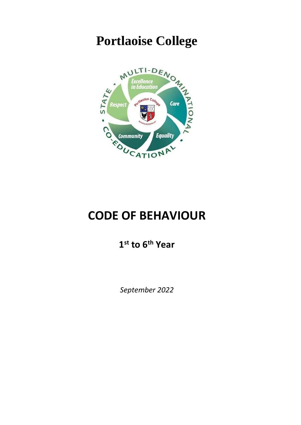# **Portlaoise College**



## **CODE OF BEHAVIOUR**

**1 st to 6th Year**

*September 2022*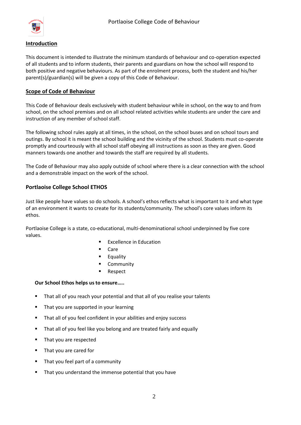

#### **Introduction**

This document is intended to illustrate the minimum standards of behaviour and co-operation expected of all students and to inform students, their parents and guardians on how the school will respond to both positive and negative behaviours. As part of the enrolment process, both the student and his/her parent(s)/guardian(s) will be given a copy of this Code of Behaviour.

#### **Scope of Code of Behaviour**

This Code of Behaviour deals exclusively with student behaviour while in school, on the way to and from school, on the school premises and on all school related activities while students are under the care and instruction of any member of school staff.

The following school rules apply at all times, in the school, on the school buses and on school tours and outings. By school it is meant the school building and the vicinity of the school. Students must co-operate promptly and courteously with all school staff obeying all instructions as soon as they are given. Good manners towards one another and towards the staff are required by all students.

The Code of Behaviour may also apply outside of school where there is a clear connection with the school and a demonstrable impact on the work of the school.

#### **Portlaoise College School ETHOS**

Just like people have values so do schools. A school's ethos reflects what is important to it and what type of an environment it wants to create for its students/community. The school's core values inform its ethos.

Portlaoise College is a state, co-educational, multi-denominational school underpinned by five core values.

- **Excellence in Education**
- Care
- Equality
- Community
- Respect

#### **Our School Ethos helps us to ensure…..**

- That all of you reach your potential and that all of you realise your talents
- **That you are supported in your learning**
- **That all of you feel confident in your abilities and enjoy success**
- That all of you feel like you belong and are treated fairly and equally
- **That you are respected**
- **That you are cared for**
- That you feel part of a community
- That you understand the immense potential that you have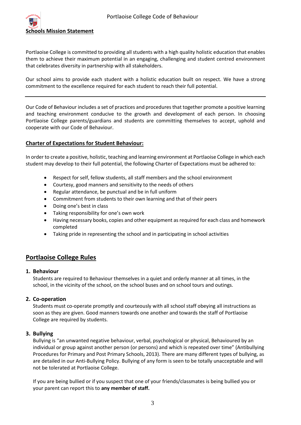

Portlaoise College is committed to providing all students with a high quality holistic education that enables them to achieve their maximum potential in an engaging, challenging and student centred environment that celebrates diversity in partnership with all stakeholders.

Our school aims to provide each student with a holistic education built on respect. We have a strong commitment to the excellence required for each student to reach their full potential.

Our Code of Behaviour includes a set of practices and procedures that together promote a positive learning and teaching environment conducive to the growth and development of each person. In choosing Portlaoise College parents/guardians and students are committing themselves to accept, uphold and cooperate with our Code of Behaviour.

#### **Charter of Expectations for Student Behaviour:**

In order to create a positive, holistic, teaching and learning environment at Portlaoise College in which each student may develop to their full potential, the following Charter of Expectations must be adhered to:

- Respect for self, fellow students, all staff members and the school environment
- Courtesy, good manners and sensitivity to the needs of others
- Regular attendance, be punctual and be in full uniform
- Commitment from students to their own learning and that of their peers
- Doing one's best in class
- Taking responsibility for one's own work
- Having necessary books, copies and other equipment as required for each class and homework completed
- Taking pride in representing the school and in participating in school activities

## **Portlaoise College Rules**

#### **1. Behaviour**

Students are required to Behaviour themselves in a quiet and orderly manner at all times, in the school, in the vicinity of the school, on the school buses and on school tours and outings.

#### **2. Co-operation**

Students must co-operate promptly and courteously with all school staff obeying all instructions as soon as they are given. Good manners towards one another and towards the staff of Portlaoise College are required by students.

#### **3. Bullying**

Bullying is "an unwanted negative behaviour, verbal, psychological or physical, Behavioured by an individual or group against another person (or persons) and which is repeated over time" (Antibullying Procedures for Primary and Post Primary Schools, 2013). There are many different types of bullying, as are detailed in our Anti-Bullying Policy. Bullying of any form is seen to be totally unacceptable and will not be tolerated at Portlaoise College.

If you are being bullied or if you suspect that one of your friends/classmates is being bullied you or your parent can report this to **any member of staff.**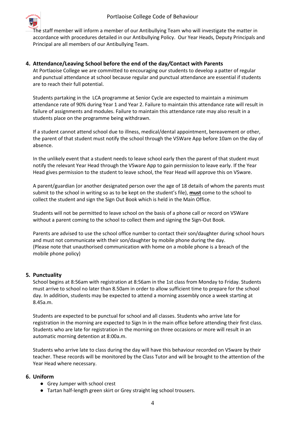

The staff member will inform a member of our Antibullying Team who will investigate the matter in accordance with procedures detailed in our Antibullying Policy. Our Year Heads, Deputy Principals and Principal are all members of our Antibullying Team.

#### **4. Attendance/Leaving School before the end of the day***/***Contact with Parents**

At Portlaoise College we are committed to encouraging our students to develop a patter of regular and punctual attendance at school because regular and punctual attendance are essential if students are to reach their full potential.

Students partaking in the LCA programme at Senior Cycle are expected to maintain a minimum attendance rate of 90% during Year 1 and Year 2. Failure to maintain this attendance rate will result in failure of assignments and modules. Failure to maintain this attendance rate may also result in a students place on the programme being withdrawn.

If a student cannot attend school due to illness, medical/dental appointment, bereavement or other, the parent of that student must notify the school through the VSWare App before 10am on the day of absence.

In the unlikely event that a student needs to leave school early then the parent of that student must notify the relevant Year Head through the VSware App to gain permission to leave early. If the Year Head gives permission to the student to leave school, the Year Head will approve this on VSware.

A parent/guardian (or another designated person over the age of 18 details of whom the parents must submit to the school in writing so as to be kept on the student's file), **must** come to the school to collect the student and sign the Sign Out Book which is held in the Main Office.

Students will not be permitted to leave school on the basis of a phone call or record on VSWare without a parent coming to the school to collect them and signing the Sign-Out Book.

Parents are advised to use the school office number to contact their son/daughter during school hours and must not communicate with their son/daughter by mobile phone during the day. (Please note that unauthorised communication with home on a mobile phone is a breach of the mobile phone policy)

## **5***.* **Punctuality**

School begins at 8:56am with registration at 8:56am in the 1st class from Monday to Friday. Students must arrive to school no later than 8.50am in order to allow sufficient time to prepare for the school day. In addition, students may be expected to attend a morning assembly once a week starting at 8.45a.m.

Students are expected to be punctual for school and all classes. Students who arrive late for registration in the morning are expected to Sign In in the main office before attending their first class. Students who are late for registration in the morning on three occasions or more will result in an automatic morning detention at 8:00a.m.

Students who arrive late to class during the day will have this behaviour recorded on VSware by their teacher. These records will be monitored by the Class Tutor and will be brought to the attention of the Year Head where necessary.

#### **6. Uniform**

- Grey Jumper with school crest
- Tartan half-length green skirt or Grey straight leg school trousers.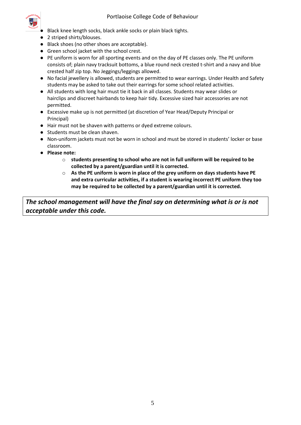

- Black knee length socks, black ankle socks or plain black tights.
- 2 striped shirts/blouses.
- Black shoes (no other shoes are acceptable).
- Green school jacket with the school crest.
- PE uniform is worn for all sporting events and on the day of PE classes only. The PE uniform consists of; plain navy tracksuit bottoms, a blue round neck crested t-shirt and a navy and blue crested half zip top. No Jeggings/leggings allowed.
- No facial jewellery is allowed, students are permitted to wear earrings. Under Health and Safety students may be asked to take out their earrings for some school related activities.
- All students with long hair must tie it back in all classes. Students may wear slides or hairclips and discreet hairbands to keep hair tidy. Excessive sized hair accessories are not permitted.
- Excessive make up is not permitted (at discretion of Year Head/Deputy Principal or Principal)
- Hair must not be shaven with patterns or dyed extreme colours.
- Students must be clean shaven.
- Non-uniform jackets must not be worn in school and must be stored in students' locker or base classroom.
- **Please note:** 
	- o **students presenting to school who are not in full uniform will be required to be collected by a parent/guardian until it is corrected.**
	- o **As the PE uniform is worn in place of the grey uniform on days students have PE and extra curricular activities, if a student is wearing incorrect PE uniform they too may be required to be collected by a parent/guardian until it is corrected.**

*The school management will have the final say on determining what is or is not acceptable under this code.*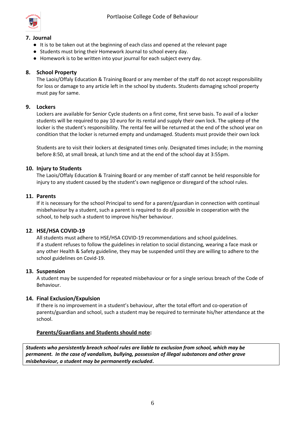

#### **7. Journal**

- It is to be taken out at the beginning of each class and opened at the relevant page
- Students must bring their Homework Journal to school every day.
- Homework is to be written into your journal for each subject every day.

## **8. School Property**

The Laois/Offaly Education & Training Board or any member of the staff do not accept responsibility for loss or damage to any article left in the school by students. Students damaging school property must pay for same.

#### **9. Lockers**

Lockers are available for Senior Cycle students on a first come, first serve basis. To avail of a locker students will be required to pay 10 euro for its rental and supply their own lock. The upkeep of the locker is the student's responsibility. The rental fee will be returned at the end of the school year on condition that the locker is returned empty and undamaged. Students must provide their own lock

Students are to visit their lockers at designated times only. Designated times include; in the morning before 8:50, at small break, at lunch time and at the end of the school day at 3:55pm.

#### **10. Injury to Students**

The Laois/Offaly Education & Training Board or any member of staff cannot be held responsible for injury to any student caused by the student's own negligence or disregard of the school rules.

#### **11. Parents**

If it is necessary for the school Principal to send for a parent/guardian in connection with continual misbehaviour by a student, such a parent is required to do all possible in cooperation with the school, to help such a student to improve his/her behaviour.

#### **12**. **HSE/HSA COVID-19**

All students must adhere to HSE/HSA COVID-19 recommendations and school guidelines. If a student refuses to follow the guidelines in relation to social distancing, wearing a face mask or any other Health & Safety guideline, they may be suspended until they are willing to adhere to the school guidelines on Covid-19.

#### **13. Suspension**

A student may be suspended for repeated misbehaviour or for a single serious breach of the Code of Behaviour.

## **14. Final Exclusion/Expulsion**

If there is no improvement in a student's behaviour, after the total effort and co-operation of parents/guardian and school, such a student may be required to terminate his/her attendance at the school.

#### **Parents/Guardians and Students should note:**

*Students who persistently breach school rules are liable to exclusion from school, which may be permanent. In the case of vandalism, bullying, possession of illegal substances and other grave misbehaviour, a student may be permanently excluded***.**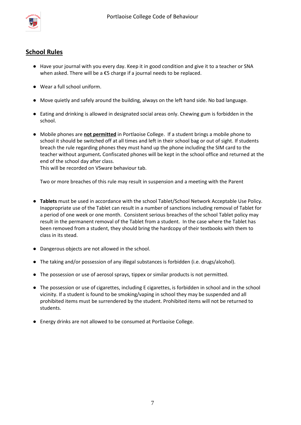

## **School Rules**

- Have your journal with you every day. Keep it in good condition and give it to a teacher or SNA when asked. There will be a €5 charge if a journal needs to be replaced.
- Wear a full school uniform.
- Move quietly and safely around the building, always on the left hand side. No bad language.
- Eating and drinking is allowed in designated social areas only. Chewing gum is forbidden in the school.
- Mobile phones are **not permitted** in Portlaoise College. If a student brings a mobile phone to school it should be switched off at all times and left in their school bag or out of sight. If students breach the rule regarding phones they must hand up the phone including the SIM card to the teacher without argument*.* Confiscated phones will be kept in the school office and returned at the end of the school day after class.

This will be recorded on VSware behaviour tab.

Two or more breaches of this rule may result in suspension and a meeting with the Parent

- **Tablets** must be used in accordance with the school Tablet/School Network Acceptable Use Policy. Inappropriate use of the Tablet can result in a number of sanctions including removal of Tablet for a period of one week or one month. Consistent serious breaches of the school Tablet policy may result in the permanent removal of the Tablet from a student. In the case where the Tablet has been removed from a student, they should bring the hardcopy of their textbooks with them to class in its stead.
- Dangerous objects are not allowed in the school.
- The taking and/or possession of any illegal substances is forbidden (i.e. drugs/alcohol).
- The possession or use of aerosol sprays, tippex or similar products is not permitted.
- The possession or use of cigarettes, including E cigarettes, is forbidden in school and in the school vicinity. If a student is found to be smoking/vaping in school they may be suspended and all prohibited items must be surrendered by the student. Prohibited items will not be returned to students.
- Energy drinks are not allowed to be consumed at Portlaoise College.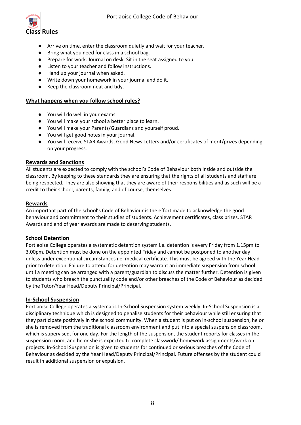

- Arrive on time, enter the classroom quietly and wait for your teacher.
- Bring what you need for class in a school bag.
- Prepare for work. Journal on desk. Sit in the seat assigned to you.
- Listen to your teacher and follow instructions.
- Hand up your journal when asked.
- Write down your homework in your journal and do it.
- Keep the classroom neat and tidy.

#### **What happens when you follow school rules?**

- You will do well in your exams.
- You will make your school a better place to learn.
- You will make your Parents/Guardians and yourself proud.
- You will get good notes in your journal.
- You will receive STAR Awards, Good News Letters and/or certificates of merit/prizes depending on your progress.

#### **Rewards and Sanctions**

All students are expected to comply with the school's Code of Behaviour both inside and outside the classroom. By keeping to these standards they are ensuring that the rights of all students and staff are being respected. They are also showing that they are aware of their responsibilities and as such will be a credit to their school, parents, family, and of course, themselves.

#### **Rewards**

An important part of the school's Code of Behaviour is the effort made to acknowledge the good behaviour and commitment to their studies of students. Achievement certificates, class prizes, STAR Awards and end of year awards are made to deserving students.

## **School Detention**

Portlaoise College operates a systematic detention system i.e. detention is every Friday from 1.15pm to 3.00pm. Detention must be done on the appointed Friday and cannot be postponed to another day unless under exceptional circumstances i.e. medical certificate. This must be agreed with the Year Head prior to detention. Failure to attend for detention may warrant an immediate suspension from school until a meeting can be arranged with a parent/guardian to discuss the matter further. Detention is given to students who breach the punctuality code and/or other breaches of the Code of Behaviour as decided by the Tutor/Year Head/Deputy Principal/Principal.

#### **In-School Suspension**

Portlaoise College operates a systematic In-School Suspension system weekly. In-School Suspension is a disciplinary technique which is designed to penalise students for their behaviour while still ensuring that they participate positively in the school community. When a student is put on in-school suspension, he or she is removed from the traditional classroom environment and put into a special suspension classroom, which is supervised, for one day. For the length of the suspension, the student reports for classes in the suspension room, and he or she is expected to complete classwork/ homework assignments/work on projects. In-School Suspension is given to students for continued or serious breaches of the Code of Behaviour as decided by the Year Head/Deputy Principal/Principal. Future offenses by the student could result in additional suspension or expulsion.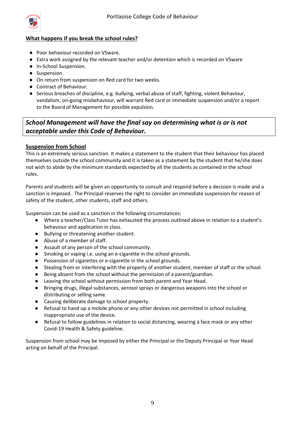

## **What happens if you break the school rules?**

- Poor behaviour recorded on VSware.
- Extra work assigned by the relevant teacher and/or detention which is recorded on VSware
- In-School Suspension.
- Suspension.
- On return from suspension on Red card for two weeks.
- Contract of Behaviour.
- Serious breaches of discipline, e.g. bullying, verbal abuse of staff, fighting, violent Behaviour, vandalism, on-going misbehaviour, will warrant Red card or immediate suspension and/or a report to the Board of Management for possible expulsion.

## *School Management will have the final say on determining what is or is not acceptable under this Code of Behaviour.*

#### **Suspension from School**

This is an extremely serious sanction. It makes a statement to the student that their behaviour has placed themselves outside the school community and it is taken as a statement by the student that he/she does not wish to abide by the minimum standards expected by all the students as contained in the school rules.

Parents and students will be given an opportunity to consult and respond before a decision is made and a sanction is imposed. The Principal reserves the right to consider an immediate suspension for reason of safety of the student, other students, staff and others.

Suspension can be used as a sanction in the following circumstances:

- Where a teacher/Class Tutor has exhausted the process outlined above in relation to a student's behaviour and application in class.
- Bullying or threatening another student.
- Abuse of a member of staff.
- Assault of any person of the school community.
- Smoking or vaping i.e. using an e-cigarette in the school grounds.
- Possession of cigarettes or e-cigarette in the school grounds.
- Stealing from or interfering with the property of another student, member of staff or the school.
- Being absent from the school without the permission of a parent/guardian.
- Leaving the school without permission from both parent and Year Head.
- Bringing drugs, illegal substances, aerosol sprays or dangerous weapons into the school or distributing or selling same.
- Causing deliberate damage to school property.
- Refusal to hand up a mobile phone or any other devices not permitted in school including inappropriate use of the device.
- Refusal to follow guidelines in relation to social distancing, wearing a face mask or any other Covid-19 Health & Safety guideline.

Suspension from school may be imposed by either the Principal or the Deputy Principal or Year Head acting on behalf of the Principal.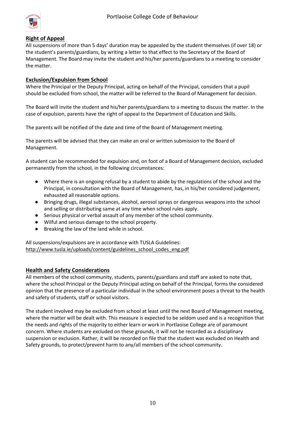

#### **Right of Appeal**

All suspensions of more than 5 days' duration may be appealed by the student themselves (if over 18) or the student's parents/guardians, by writing a letter to that effect to the Secretary of the Board of Management. The Board may invite the student and his/her parents/guardians to a meeting to consider the matter.

#### **Exclusion/Expulsion from School**

Where the Principal or the Deputy Principal, acting on behalf of the Principal, considers that a pupil should be excluded from school, the matter will be referred to the Board of Management for decision.

The Board will invite the student and his/her parents/guardians to a meeting to discuss the matter. In the case of expulsion, parents have the right of appeal to the Department of Education and Skills.

The parents will be notified of the date and time of the Board of Management meeting.

The parents will be advised that they can make an oral or written submission to the Board of Management.

A student can be recommended for expulsion and, on foot of a Board of Management decision, excluded permanently from the school, in the following circumstances:

- Where there is an ongoing refusal by a student to abide by the regulations of the school and the Principal, in consultation with the Board of Management, has, in his/her considered judgement, exhausted all reasonable options.
- Bringing drugs, illegal substances, alcohol, aerosol sprays or dangerous weapons into the school and selling or distributing same at any time when school rules apply.
- Serious physical or verbal assault of any member of the school community.
- Wilful and serious damage to the school property.
- Breaking the law of the land while in school.

All suspensions/expulsions are in accordance with TUSLA Guidelines: [http://www.tusla.ie/uploads/content/guidelines\\_school\\_codes\\_eng.pdf](http://www.tusla.ie/uploads/content/guidelines_school_codes_eng.pdf)

#### **Health and Safety Considerations**

All members of the school community, students, parents/guardians and staff are asked to note that, where the school Principal or the Deputy Principal acting on behalf of the Principal, forms the considered opinion that the presence of a particular individual in the school environment poses a threat to the health and safety of students, staff or school visitors.

The student involved may be excluded from school at least until the next Board of Management meeting, where the matter will be dealt with. This measure is expected to be seldom used and is a recognition that the needs and rights of the majority to either learn or work in Portlaoise College are of paramount concern. Where students are excluded on these grounds, it will not be recorded as a disciplinary suspension or exclusion. Rather, it will be recorded on file that the student was excluded on Health and Safety grounds, to protect/prevent harm to any/all members of the school community.